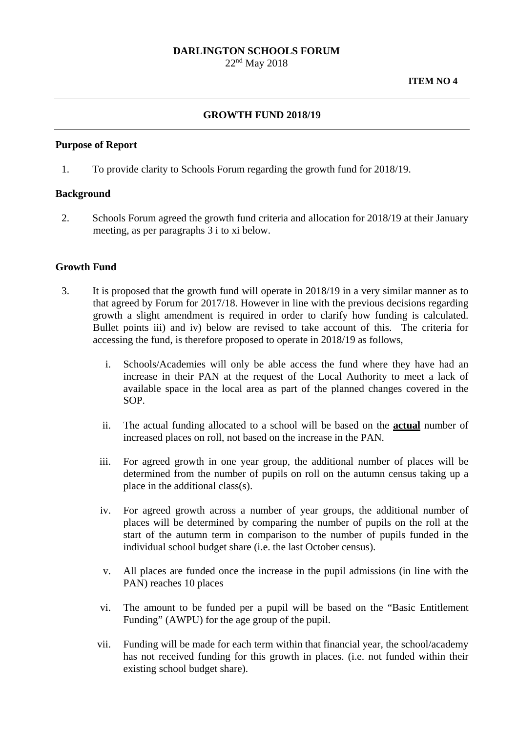### **DARLINGTON SCHOOLS FORUM**

22nd May 2018

## **GROWTH FUND 2018/19**

#### **Purpose of Report**

1. To provide clarity to Schools Forum regarding the growth fund for 2018/19.

### **Background**

2. Schools Forum agreed the growth fund criteria and allocation for 2018/19 at their January meeting, as per paragraphs 3 i to xi below.

### **Growth Fund**

- 3. It is proposed that the growth fund will operate in 2018/19 in a very similar manner as to that agreed by Forum for 2017/18. However in line with the previous decisions regarding growth a slight amendment is required in order to clarify how funding is calculated. Bullet points iii) and iv) below are revised to take account of this. The criteria for accessing the fund, is therefore proposed to operate in 2018/19 as follows,
	- i. Schools/Academies will only be able access the fund where they have had an increase in their PAN at the request of the Local Authority to meet a lack of available space in the local area as part of the planned changes covered in the SOP.
	- ii. The actual funding allocated to a school will be based on the **actual** number of increased places on roll, not based on the increase in the PAN.
	- iii. For agreed growth in one year group, the additional number of places will be determined from the number of pupils on roll on the autumn census taking up a place in the additional class(s).
	- iv. For agreed growth across a number of year groups, the additional number of places will be determined by comparing the number of pupils on the roll at the start of the autumn term in comparison to the number of pupils funded in the individual school budget share (i.e. the last October census).
	- v. All places are funded once the increase in the pupil admissions (in line with the PAN) reaches 10 places
	- vi. The amount to be funded per a pupil will be based on the "Basic Entitlement Funding" (AWPU) for the age group of the pupil.
	- vii. Funding will be made for each term within that financial year, the school/academy has not received funding for this growth in places. (i.e. not funded within their existing school budget share).